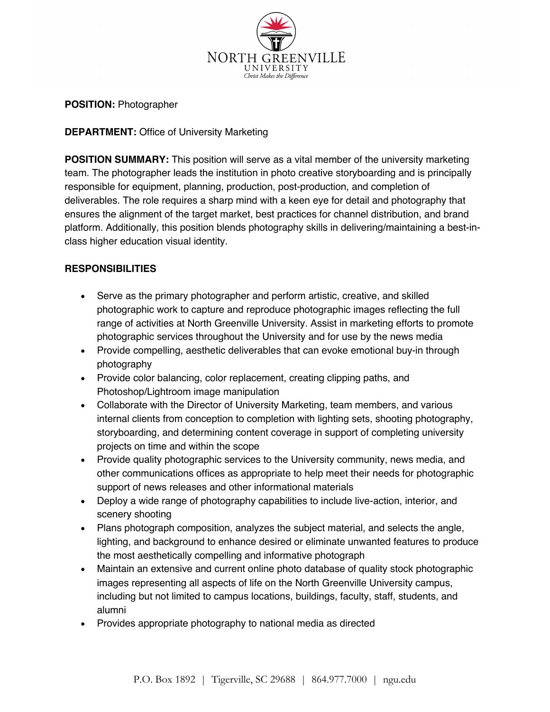

**POSITION:** Photographer

## **DEPARTMENT:** Office of University Marketing

**POSITION SUMMARY:** This position will serve as a vital member of the university marketing team. The photographer leads the institution in photo creative storyboarding and is principally responsible for equipment, planning, production, post-production, and completion of deliverables. The role requires a sharp mind with a keen eye for detail and photography that ensures the alignment of the target market, best practices for channel distribution, and brand platform. Additionally, this position blends photography skills in delivering/maintaining a best-inclass higher education visual identity.

# **RESPONSIBILITIES**

- Serve as the primary photographer and perform artistic, creative, and skilled photographic work to capture and reproduce photographic images reflecting the full range of activities at North Greenville University. Assist in marketing efforts to promote photographic services throughout the University and for use by the news media
- Provide compelling, aesthetic deliverables that can evoke emotional buy-in through photography
- Provide color balancing, color replacement, creating clipping paths, and Photoshop/Lightroom image manipulation
- Collaborate with the Director of University Marketing, team members, and various internal clients from conception to completion with lighting sets, shooting photography, storyboarding, and determining content coverage in support of completing university projects on time and within the scope
- Provide quality photographic services to the University community, news media, and other communications offices as appropriate to help meet their needs for photographic support of news releases and other informational materials
- Deploy a wide range of photography capabilities to include live-action, interior, and scenery shooting
- Plans photograph composition, analyzes the subject material, and selects the angle, lighting, and background to enhance desired or eliminate unwanted features to produce the most aesthetically compelling and informative photograph
- Maintain an extensive and current online photo database of quality stock photographic images representing all aspects of life on the North Greenville University campus, including but not limited to campus locations, buildings, faculty, staff, students, and alumni
- Provides appropriate photography to national media as directed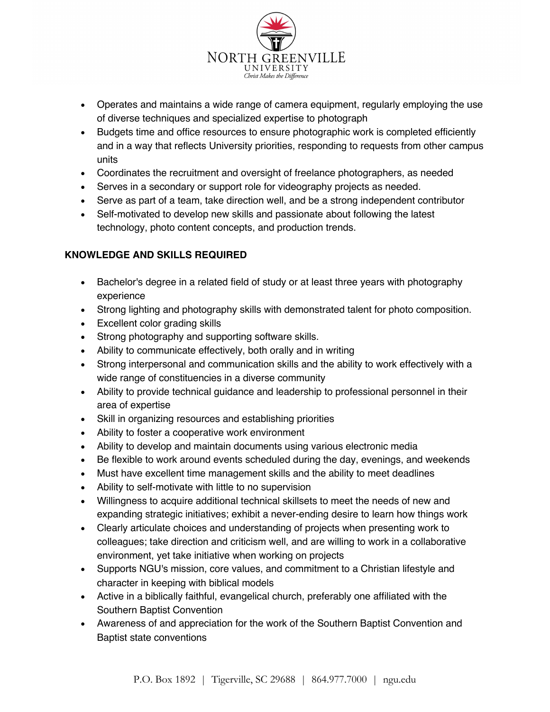

- Operates and maintains a wide range of camera equipment, regularly employing the use of diverse techniques and specialized expertise to photograph
- Budgets time and office resources to ensure photographic work is completed efficiently and in a way that reflects University priorities, responding to requests from other campus units
- Coordinates the recruitment and oversight of freelance photographers, as needed
- Serves in a secondary or support role for videography projects as needed.
- Serve as part of a team, take direction well, and be a strong independent contributor
- Self-motivated to develop new skills and passionate about following the latest technology, photo content concepts, and production trends.

# **KNOWLEDGE AND SKILLS REQUIRED**

- Bachelor's degree in a related field of study or at least three years with photography experience
- Strong lighting and photography skills with demonstrated talent for photo composition.
- Excellent color grading skills
- Strong photography and supporting software skills.
- Ability to communicate effectively, both orally and in writing
- Strong interpersonal and communication skills and the ability to work effectively with a wide range of constituencies in a diverse community
- Ability to provide technical guidance and leadership to professional personnel in their area of expertise
- Skill in organizing resources and establishing priorities
- Ability to foster a cooperative work environment
- Ability to develop and maintain documents using various electronic media
- Be flexible to work around events scheduled during the day, evenings, and weekends
- Must have excellent time management skills and the ability to meet deadlines
- Ability to self-motivate with little to no supervision
- Willingness to acquire additional technical skillsets to meet the needs of new and expanding strategic initiatives; exhibit a never-ending desire to learn how things work
- Clearly articulate choices and understanding of projects when presenting work to colleagues; take direction and criticism well, and are willing to work in a collaborative environment, yet take initiative when working on projects
- Supports NGU's mission, core values, and commitment to a Christian lifestyle and character in keeping with biblical models
- Active in a biblically faithful, evangelical church, preferably one affiliated with the Southern Baptist Convention
- Awareness of and appreciation for the work of the Southern Baptist Convention and Baptist state conventions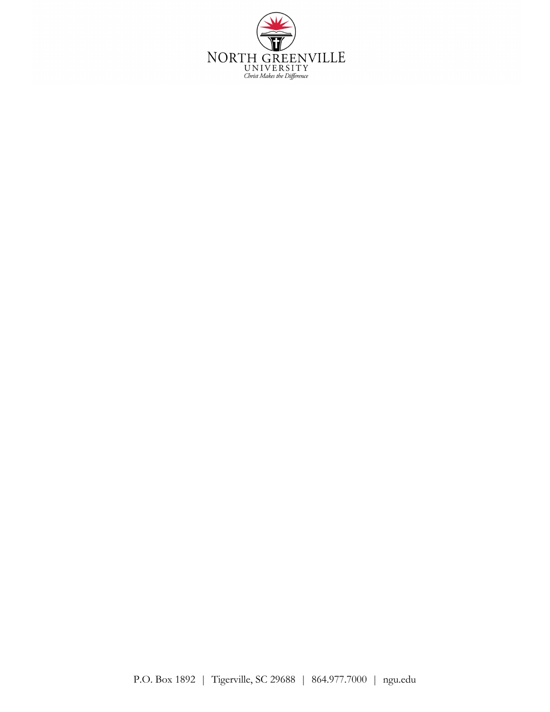

P.O. Box 1892 | Tigerville, SC 29688 | 864.977.7000 | ngu.edu